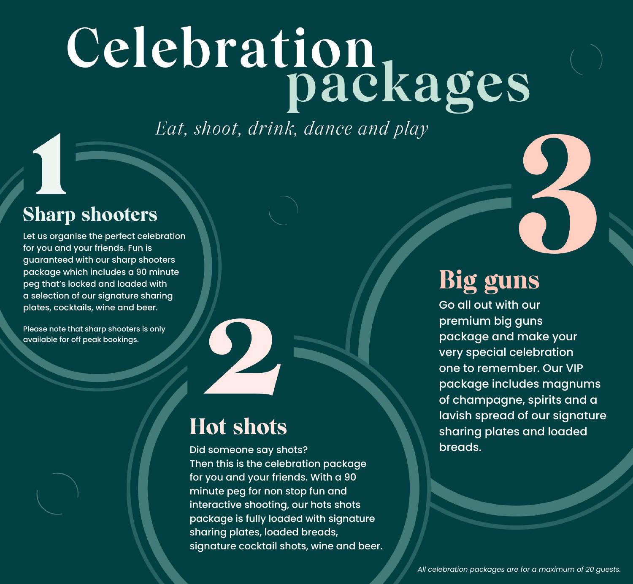# Celebration<br>packages

Eat, shoot, drink, dance and play

#### Sharp shooters

Let us organise the perfect celebration for you and your friends. Fun is guaranteed with our sharp shooters package which includes a 90 minute peg that's locked and loaded with a selection of our signature sharing plates, cocktails, wine and beer.

Please note that sharp shooters is only available for off peak bookings.



### Hot shots

Did someone say shots? Then this is the celebration package for you and your friends. With a 90 minute peg for non stop fun and interactive shooting, our hots shots package is fully loaded with signature sharing plates, loaded breads, signature cocktail shots, wine and beer.

## Big guns

Go all out with our premium big guns package and make your very special celebration one to remember. Our VIP package includes magnums of champagne, spirits and a lavish spread of our signature sharing plates and loaded breads.

*All celebration packages are for a maximum of 20 guests.*